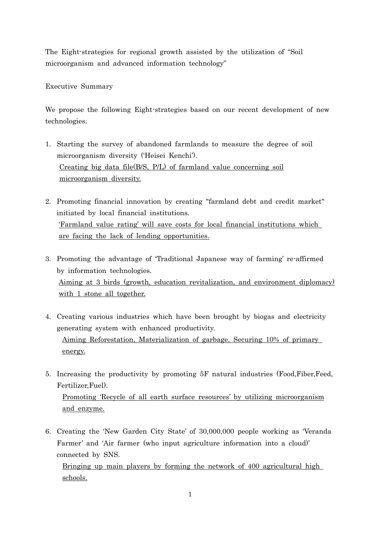The Eight-strategies for regional growth assisted by the utilization of "Soil microorganism and advanced information technology"

## Executive Summary

We propose the following Eight-strategies based on our recent development of new technologies.

- 1. Starting the survey of abandoned farmlands to measure the degree of soil microorganism diversity ('Heisei Kenchi'). Creating big data file(B/S, P/L) of farmland value concerning soil microorganism diversity.
- 2. Promoting financial innovation by creating "farmland debt and credit market" initiated by local financial institutions. 'Farmland value rating' will save costs for local financial institutions which are facing the lack of lending opportunities.
- 3. Promoting the advantage of 'Traditional Japanese way of farming' re-affirmed by information technologies. Aiming at 3 birds (growth, education revitalization, and environment diplomacy) with 1 stone all together.
- 4. Creating various industries which have been brought by biogas and electricity generating system with enhanced productivity. Aiming Reforestation, Materialization of garbage, Securing 10% of primary energy.
- 5. Increasing the productivity by promoting 5F natural industries (Food,Fiber,Feed, Fertilizer,Fuel).

Promoting 'Recycle of all earth surface resources' by utilizing microorganism and enzyme.

6. Creating the 'New Garden City State' of 30,000,000 people working as 'Veranda Farmer' and 'Air farmer (who input agriculture information into a cloud)' connected by SNS.

Bringing up main players by forming the network of 400 agricultural high schools.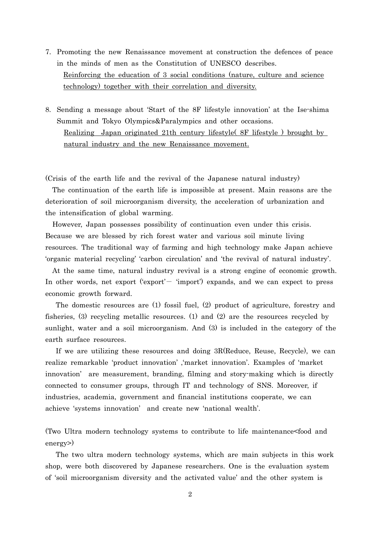- 7. Promoting the new Renaissance movement at construction the defences of peace in the minds of men as the Constitution of UNESCO describes. Reinforcing the education of 3 social conditions (nature, culture and science technology) together with their correlation and diversity.
- 8. Sending a message about 'Start of the 8F lifestyle innovation' at the Ise-shima Summit and Tokyo Olympics&Paralympics and other occasions. Realizing Japan originated 21th century lifestyle( 8F lifestyle ) brought by natural industry and the new Renaissance movement.

(Crisis of the earth life and the revival of the Japanese natural industry)

The continuation of the earth life is impossible at present. Main reasons are the deterioration of soil microorganism diversity, the acceleration of urbanization and the intensification of global warming.

 However, Japan possesses possibility of continuation even under this crisis. Because we are blessed by rich forest water and various soil minute living resources. The traditional way of farming and high technology make Japan achieve 'organic material recycling' 'carbon circulation' and 'the revival of natural industry'.

At the same time, natural industry revival is a strong engine of economic growth. In other words, net export ('export' - 'import') expands, and we can expect to press economic growth forward.

The domestic resources are (1) fossil fuel, (2) product of agriculture, forestry and fisheries, (3) recycling metallic resources. (1) and (2) are the resources recycled by sunlight, water and a soil microorganism. And (3) is included in the category of the earth surface resources.

If we are utilizing these resources and doing 3R(Reduce, Reuse, Recycle), we can realize remarkable 'product innovation' ,'market innovation'. Examples of 'market innovation' are measurement, branding, filming and story-making which is directly connected to consumer groups, through IT and technology of SNS. Moreover, if industries, academia, government and financial institutions cooperate, we can achieve 'systems innovation' and create new 'national wealth'.

(Two Ultra modern technology systems to contribute to life maintenance<food and energy>)

The two ultra modern technology systems, which are main subjects in this work shop, were both discovered by Japanese researchers. One is the evaluation system of 'soil microorganism diversity and the activated value' and the other system is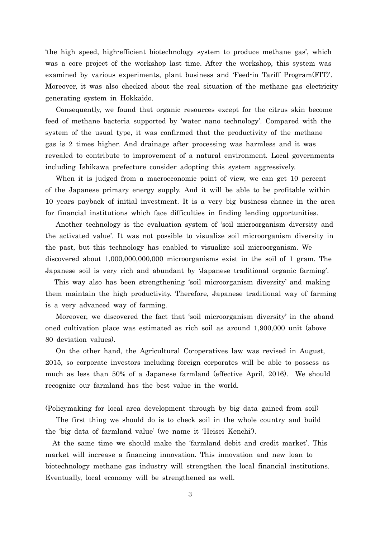'the high speed, high-efficient biotechnology system to produce methane gas', which was a core project of the workshop last time. After the workshop, this system was examined by various experiments, plant business and 'Feed-in Tariff Program(FIT)'. Moreover, it was also checked about the real situation of the methane gas electricity generating system in Hokkaido.

Consequently, we found that organic resources except for the citrus skin become feed of methane bacteria supported by 'water nano technology'. Compared with the system of the usual type, it was confirmed that the productivity of the methane gas is 2 times higher. And drainage after processing was harmless and it was revealed to contribute to improvement of a natural environment. Local governments including Ishikawa prefecture consider adopting this system aggressively.

When it is judged from a macroeconomic point of view, we can get 10 percent of the Japanese primary energy supply. And it will be able to be profitable within 10 years payback of initial investment. It is a very big business chance in the area for financial institutions which face difficulties in finding lending opportunities.

Another technology is the evaluation system of 'soil microorganism diversity and the activated value'. It was not possible to visualize soil microorganism diversity in the past, but this technology has enabled to visualize soil microorganism. We discovered about 1,000,000,000,000 microorganisms exist in the soil of 1 gram. The Japanese soil is very rich and abundant by 'Japanese traditional organic farming'.

This way also has been strengthening 'soil microorganism diversity' and making them maintain the high productivity. Therefore, Japanese traditional way of farming is a very advanced way of farming.

Moreover, we discovered the fact that 'soil microorganism diversity' in the aband oned cultivation place was estimated as rich soil as around 1,900,000 unit (above 80 deviation values).

On the other hand, the Agricultural Co-operatives law was revised in August, 2015, so corporate investors including foreign corporates will be able to possess as much as less than 50% of a Japanese farmland (effective April, 2016). We should recognize our farmland has the best value in the world.

(Policymaking for local area development through by big data gained from soil)

The first thing we should do is to check soil in the whole country and build the 'big data of farmland value' (we name it 'Heisei Kenchi').

 At the same time we should make the 'farmland debit and credit market'. This market will increase a financing innovation. This innovation and new loan to biotechnology methane gas industry will strengthen the local financial institutions. Eventually, local economy will be strengthened as well.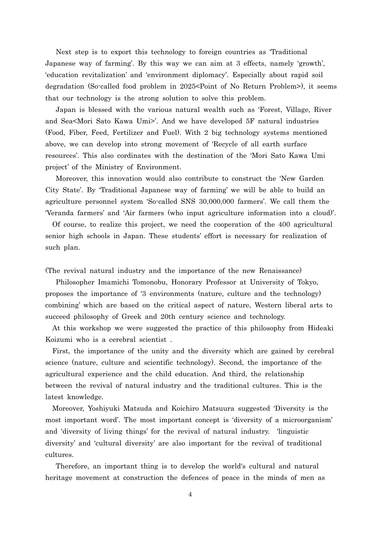Next step is to export this technology to foreign countries as 'Traditional Japanese way of farming'. By this way we can aim at 3 effects, namely 'growth', 'education revitalization' and 'environment diplomacy'. Especially about rapid soil degradation (So-called food problem in 2025<Point of No Return Problem>), it seems that our technology is the strong solution to solve this problem.

Japan is blessed with the various natural wealth such as 'Forest, Village, River and Sea<Mori Sato Kawa Umi>'. And we have developed 5F natural industries (Food, Fiber, Feed, Fertilizer and Fuel). With 2 big technology systems mentioned above, we can develop into strong movement of 'Recycle of all earth surface resources'. This also cordinates with the destination of the 'Mori Sato Kawa Umi project' of the Ministry of Environment.

Moreover, this innovation would also contribute to construct the 'New Garden City State'. By 'Traditional Japanese way of farming' we will be able to build an agriculture personnel system 'So-called SNS 30,000,000 farmers'. We call them the 'Veranda farmers' and 'Air farmers (who input agriculture information into a cloud)'.

Of course, to realize this project, we need the cooperation of the 400 agricultural senior high schools in Japan. These students' effort is necessary for realization of such plan.

(The revival natural industry and the importance of the new Renaissance)

Philosopher Imamichi Tomonobu, Honorary Professor at University of Tokyo, proposes the importance of '3 environments (nature, culture and the technology) combining' which are based on the critical aspect of nature, Western liberal arts to succeed philosophy of Greek and 20th century science and technology.

At this workshop we were suggested the practice of this philosophy from Hideaki Koizumi who is a cerebral scientist .

First, the importance of the unity and the diversity which are gained by cerebral science (nature, culture and scientific technology). Second, the importance of the agricultural experience and the child education. And third, the relationship between the revival of natural industry and the traditional cultures. This is the latest knowledge.

Moreover, Yoshiyuki Matsuda and Koichiro Matsuura suggested 'Diversity is the most important word'. The most important concept is 'diversity of a microorganism' and 'diversity of living things' for the revival of natural industry. 'linguistic diversity' and 'cultural diversity' are also important for the revival of traditional cultures.

Therefore, an important thing is to develop the world's cultural and natural heritage movement at construction the defences of peace in the minds of men as